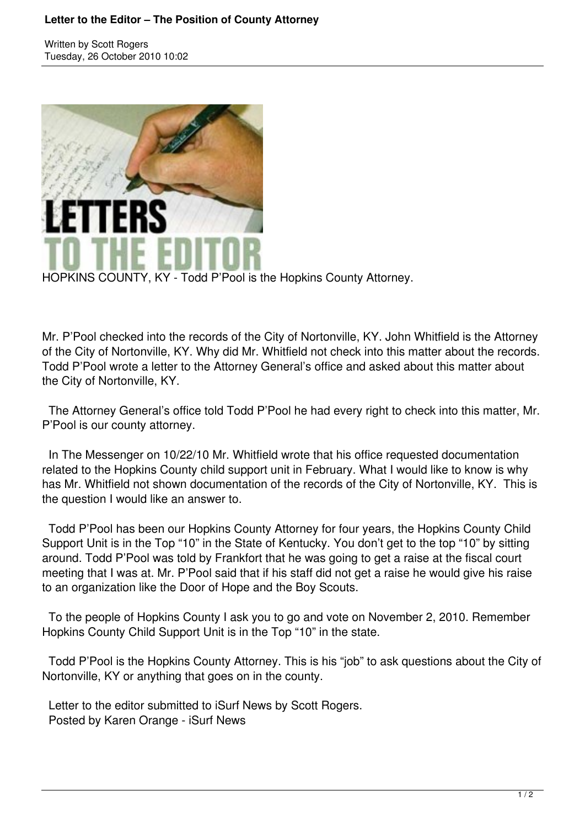## **Letter to the Editor – The Position of County Attorney**

Written by Scott Rogers Tuesday, 26 October 2010 10:02



HOPKINS COUNTY, KY - Todd P'Pool is the Hopkins County Attorney.

Mr. P'Pool checked into the records of the City of Nortonville, KY. John Whitfield is the Attorney of the City of Nortonville, KY. Why did Mr. Whitfield not check into this matter about the records. Todd P'Pool wrote a letter to the Attorney General's office and asked about this matter about the City of Nortonville, KY.

 The Attorney General's office told Todd P'Pool he had every right to check into this matter, Mr. P'Pool is our county attorney.

 In The Messenger on 10/22/10 Mr. Whitfield wrote that his office requested documentation related to the Hopkins County child support unit in February. What I would like to know is why has Mr. Whitfield not shown documentation of the records of the City of Nortonville, KY. This is the question I would like an answer to.

 Todd P'Pool has been our Hopkins County Attorney for four years, the Hopkins County Child Support Unit is in the Top "10" in the State of Kentucky. You don't get to the top "10" by sitting around. Todd P'Pool was told by Frankfort that he was going to get a raise at the fiscal court meeting that I was at. Mr. P'Pool said that if his staff did not get a raise he would give his raise to an organization like the Door of Hope and the Boy Scouts.

 To the people of Hopkins County I ask you to go and vote on November 2, 2010. Remember Hopkins County Child Support Unit is in the Top "10" in the state.

 Todd P'Pool is the Hopkins County Attorney. This is his "job" to ask questions about the City of Nortonville, KY or anything that goes on in the county.

 Letter to the editor submitted to iSurf News by Scott Rogers. Posted by Karen Orange - iSurf News